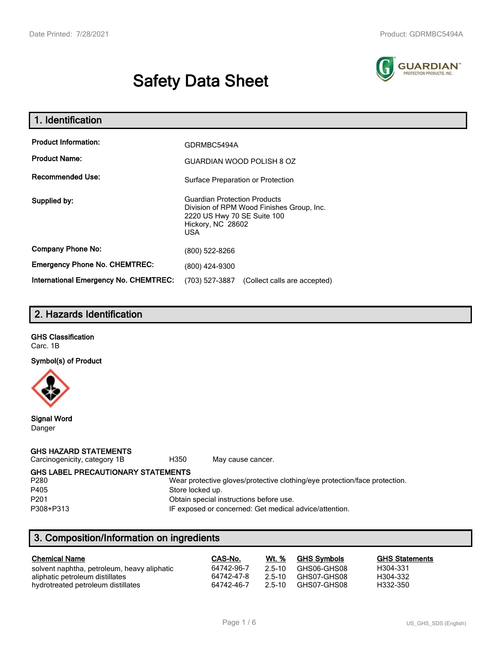# **Safety Data Sheet**



| 1. Identification                                   |                                                                                                                                                    |
|-----------------------------------------------------|----------------------------------------------------------------------------------------------------------------------------------------------------|
| <b>Product Information:</b><br><b>Product Name:</b> | GDRMBC5494A<br><b>GUARDIAN WOOD POLISH 8 OZ</b>                                                                                                    |
| <b>Recommended Use:</b>                             | Surface Preparation or Protection                                                                                                                  |
| Supplied by:                                        | <b>Guardian Protection Products</b><br>Division of RPM Wood Finishes Group, Inc.<br>2220 US Hwy 70 SE Suite 100<br>Hickory, NC 28602<br><b>USA</b> |
| <b>Company Phone No:</b>                            | (800) 522-8266                                                                                                                                     |
| <b>Emergency Phone No. CHEMTREC:</b>                | (800) 424-9300                                                                                                                                     |
| International Emergency No. CHEMTREC:               | (703) 527-3887<br>(Collect calls are accepted)                                                                                                     |

# **2. Hazards Identification**

**GHS Classification** Carc. 1B

**Symbol(s) of Product**



**Signal Word** Danger

#### **GHS HAZARD STATEMENTS**

Carcinogenicity, category 1B H350 May cause cancer.

**GHS LABEL PRECAUTIONARY STATEMENTS**

| P280      |  |
|-----------|--|
| P405      |  |
| P201      |  |
| P308+P31: |  |
|           |  |

Wear protective gloves/protective clothing/eye protection/face protection. Store locked up.

Obtain special instructions before use.

3 **IF exposed or concerned: Get medical advice/attention.** 

# **3. Composition/Information on ingredients**

| <b>Chemical Name</b>                        | CAS-No.    | Wt. %    | <b>GHS Symbols</b> | <b>GHS Statements</b> |
|---------------------------------------------|------------|----------|--------------------|-----------------------|
| solvent naphtha, petroleum, heavy aliphatic | 64742-96-7 | - 2.5-10 | GHS06-GHS08        | H304-331              |
| aliphatic petroleum distillates             | 64742-47-8 | $25-10$  | GHS07-GHS08        | H304-332              |
| hydrotreated petroleum distillates          | 64742-46-7 | $25-10$  | GHS07-GHS08        | H332-350              |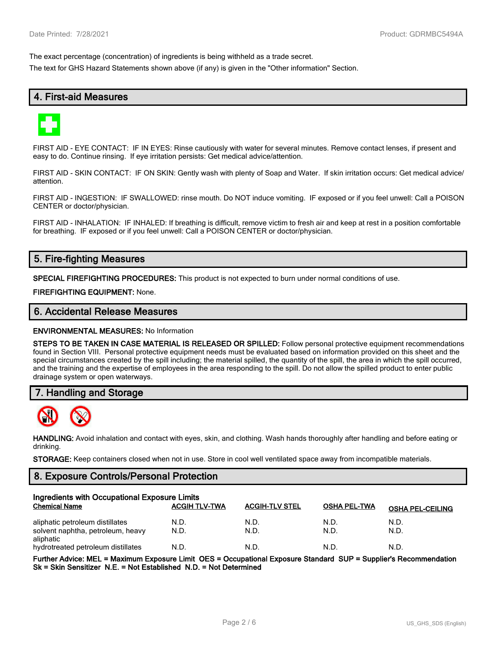The exact percentage (concentration) of ingredients is being withheld as a trade secret.

The text for GHS Hazard Statements shown above (if any) is given in the "Other information" Section.

# **4. First-aid Measures**



FIRST AID - EYE CONTACT: IF IN EYES: Rinse cautiously with water for several minutes. Remove contact lenses, if present and easy to do. Continue rinsing. If eye irritation persists: Get medical advice/attention.

FIRST AID - SKIN CONTACT: IF ON SKIN: Gently wash with plenty of Soap and Water. If skin irritation occurs: Get medical advice/ attention.

FIRST AID - INGESTION: IF SWALLOWED: rinse mouth. Do NOT induce vomiting. IF exposed or if you feel unwell: Call a POISON CENTER or doctor/physician.

FIRST AID - INHALATION: IF INHALED: If breathing is difficult, remove victim to fresh air and keep at rest in a position comfortable for breathing. IF exposed or if you feel unwell: Call a POISON CENTER or doctor/physician.

# **5. Fire-fighting Measures**

**SPECIAL FIREFIGHTING PROCEDURES:** This product is not expected to burn under normal conditions of use.

**FIREFIGHTING EQUIPMENT:** None.

#### **6. Accidental Release Measures**

**ENVIRONMENTAL MEASURES:** No Information

**STEPS TO BE TAKEN IN CASE MATERIAL IS RELEASED OR SPILLED:** Follow personal protective equipment recommendations found in Section VIII. Personal protective equipment needs must be evaluated based on information provided on this sheet and the special circumstances created by the spill including; the material spilled, the quantity of the spill, the area in which the spill occurred, and the training and the expertise of employees in the area responding to the spill. Do not allow the spilled product to enter public drainage system or open waterways.

#### **7. Handling and Storage**



**HANDLING:** Avoid inhalation and contact with eyes, skin, and clothing. Wash hands thoroughly after handling and before eating or drinking.

**STORAGE:** Keep containers closed when not in use. Store in cool well ventilated space away from incompatible materials.

#### **8. Exposure Controls/Personal Protection**

| Ingredients with Occupational Exposure Limits                                     |                      |                       |                     |                         |  |
|-----------------------------------------------------------------------------------|----------------------|-----------------------|---------------------|-------------------------|--|
| <b>Chemical Name</b>                                                              | <b>ACGIH TLV-TWA</b> | <b>ACGIH-TLV STEL</b> | <b>OSHA PEL-TWA</b> | <b>OSHA PEL-CEILING</b> |  |
| aliphatic petroleum distillates<br>solvent naphtha, petroleum, heavy<br>aliphatic | N.D.<br>N.D.         | N.D.<br>N.D.          | N.D.<br>N.D.        | N.D.<br>N.D.            |  |
| hydrotreated petroleum distillates                                                | N.D.                 | N.D.                  | N.D.                | N.D.                    |  |

**Further Advice: MEL = Maximum Exposure Limit OES = Occupational Exposure Standard SUP = Supplier's Recommendation Sk = Skin Sensitizer N.E. = Not Established N.D. = Not Determined**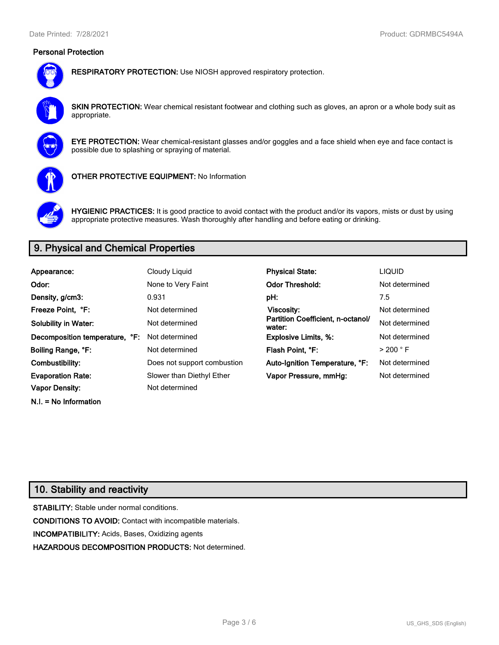## **Personal Protection**



**RESPIRATORY PROTECTION:** Use NIOSH approved respiratory protection.

**SKIN PROTECTION:** Wear chemical resistant footwear and clothing such as gloves, an apron or a whole body suit as appropriate.



**EYE PROTECTION:** Wear chemical-resistant glasses and/or goggles and a face shield when eye and face contact is possible due to splashing or spraying of material.



**OTHER PROTECTIVE EQUIPMENT:** No Information



**HYGIENIC PRACTICES:** It is good practice to avoid contact with the product and/or its vapors, mists or dust by using appropriate protective measures. Wash thoroughly after handling and before eating or drinking.

# **9. Physical and Chemical Properties**

| Appearance:                    | Cloudy Liquid               | <b>Physical State:</b>                      | <b>LIQUID</b>        |
|--------------------------------|-----------------------------|---------------------------------------------|----------------------|
| Odor:                          | None to Very Faint          | <b>Odor Threshold:</b>                      | Not determined       |
| Density, g/cm3:                | 0.931                       | pH:                                         | 7.5                  |
| Freeze Point. °F:              | Not determined              | <b>Viscosity:</b>                           | Not determined       |
| <b>Solubility in Water:</b>    | Not determined              | Partition Coefficient, n-octanol/<br>water: | Not determined       |
| Decomposition temperature, °F: | Not determined              | <b>Explosive Limits, %:</b>                 | Not determined       |
| Boiling Range, °F:             | Not determined              | Flash Point, °F:                            | $>$ 200 $^{\circ}$ F |
| Combustibility:                | Does not support combustion | Auto-Ignition Temperature, °F:              | Not determined       |
| <b>Evaporation Rate:</b>       | Slower than Diethyl Ether   | Vapor Pressure, mmHg:                       | Not determined       |
| <b>Vapor Density:</b>          | Not determined              |                                             |                      |

## **10. Stability and reactivity**

**N.I. = No Information**

**STABILITY:** Stable under normal conditions. **CONDITIONS TO AVOID:** Contact with incompatible materials. **INCOMPATIBILITY:** Acids, Bases, Oxidizing agents **HAZARDOUS DECOMPOSITION PRODUCTS:** Not determined.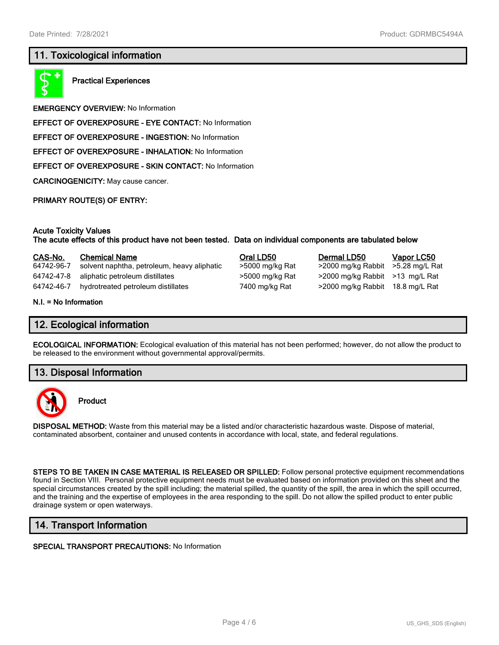## **11. Toxicological information**



**Practical Experiences**

**EMERGENCY OVERVIEW:** No Information

**EFFECT OF OVEREXPOSURE - EYE CONTACT:** No Information

**EFFECT OF OVEREXPOSURE - INGESTION:** No Information

**EFFECT OF OVEREXPOSURE - INHALATION:** No Information

**EFFECT OF OVEREXPOSURE - SKIN CONTACT:** No Information

**CARCINOGENICITY:** May cause cancer.

**PRIMARY ROUTE(S) OF ENTRY:**

#### **Acute Toxicity Values**

**The acute effects of this product have not been tested. Data on individual components are tabulated below**

| CAS-No.                                                                      | <b>Chemical Name</b>                        | Oral LD50       | Dermal LD50                       | <b>Vapor LC50</b> |
|------------------------------------------------------------------------------|---------------------------------------------|-----------------|-----------------------------------|-------------------|
| 64742-96-7                                                                   | solvent naphtha, petroleum, heavy aliphatic | >5000 mg/kg Rat | >2000 mg/kg Rabbit >5.28 mg/L Rat |                   |
| 64742-47-8                                                                   | aliphatic petroleum distillates             | >5000 mg/kg Rat | >2000 mg/kg Rabbit >13 mg/L Rat   |                   |
| 64742-46-7                                                                   | hydrotreated petroleum distillates          | 7400 mg/kg Rat  | >2000 mg/kg Rabbit 18.8 mg/L Rat  |                   |
| $\mathbf{M}$ $\mathbf{L}$ $\mathbf{L}$ $\mathbf{M}$ $\mathbf{A}$ information |                                             |                 |                                   |                   |

**N.I. = No Information**

## **12. Ecological information**

**ECOLOGICAL INFORMATION:** Ecological evaluation of this material has not been performed; however, do not allow the product to be released to the environment without governmental approval/permits.

#### **13. Disposal Information**



**Product**

**DISPOSAL METHOD:** Waste from this material may be a listed and/or characteristic hazardous waste. Dispose of material, contaminated absorbent, container and unused contents in accordance with local, state, and federal regulations.

**STEPS TO BE TAKEN IN CASE MATERIAL IS RELEASED OR SPILLED:** Follow personal protective equipment recommendations found in Section VIII. Personal protective equipment needs must be evaluated based on information provided on this sheet and the special circumstances created by the spill including; the material spilled, the quantity of the spill, the area in which the spill occurred, and the training and the expertise of employees in the area responding to the spill. Do not allow the spilled product to enter public drainage system or open waterways.

## **14. Transport Information**

#### **SPECIAL TRANSPORT PRECAUTIONS:** No Information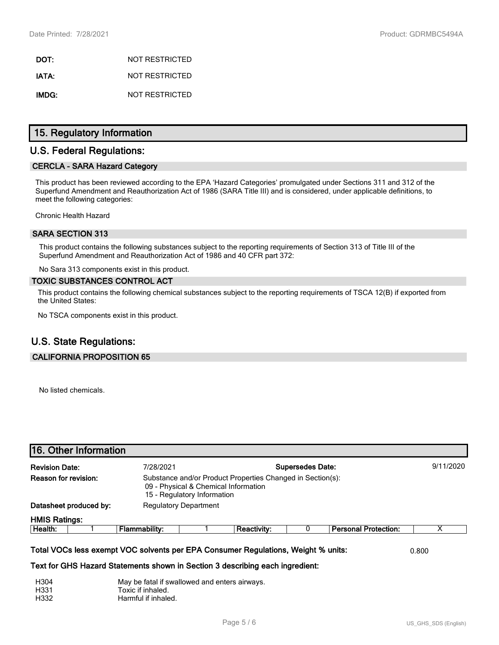**DOT:** NOT RESTRICTED **IATA:** NOT RESTRICTED **IMDG:** NOT RESTRICTED

## **15. Regulatory Information**

## **U.S. Federal Regulations:**

#### **CERCLA - SARA Hazard Category**

This product has been reviewed according to the EPA 'Hazard Categories' promulgated under Sections 311 and 312 of the Superfund Amendment and Reauthorization Act of 1986 (SARA Title III) and is considered, under applicable definitions, to meet the following categories:

Chronic Health Hazard

#### **SARA SECTION 313**

This product contains the following substances subject to the reporting requirements of Section 313 of Title III of the Superfund Amendment and Reauthorization Act of 1986 and 40 CFR part 372:

No Sara 313 components exist in this product.

#### **TOXIC SUBSTANCES CONTROL ACT**

This product contains the following chemical substances subject to the reporting requirements of TSCA 12(B) if exported from the United States:

No TSCA components exist in this product.

# **U.S. State Regulations:**

#### **CALIFORNIA PROPOSITION 65**

No listed chemicals.

| <b>Revision Date:</b> |                        | 7/28/2021                    | <b>Supersedes Date:</b>     |                                                                                                    |  |                             |   |
|-----------------------|------------------------|------------------------------|-----------------------------|----------------------------------------------------------------------------------------------------|--|-----------------------------|---|
| Reason for revision:  |                        |                              | 15 - Regulatory Information | Substance and/or Product Properties Changed in Section(s):<br>09 - Physical & Chemical Information |  |                             |   |
|                       | Datasheet produced by: | <b>Regulatory Department</b> |                             |                                                                                                    |  |                             |   |
| <b>HMIS Ratings:</b>  |                        |                              |                             |                                                                                                    |  |                             |   |
| Health:               |                        | Flammability:                |                             | <b>Reactivity:</b>                                                                                 |  | <b>Personal Protection:</b> | х |

| H <sub>304</sub> | May be fatal if swallowed and enters airways. |
|------------------|-----------------------------------------------|
| H331             | Toxic if inhaled.                             |
| H332             | Harmful if inhaled.                           |